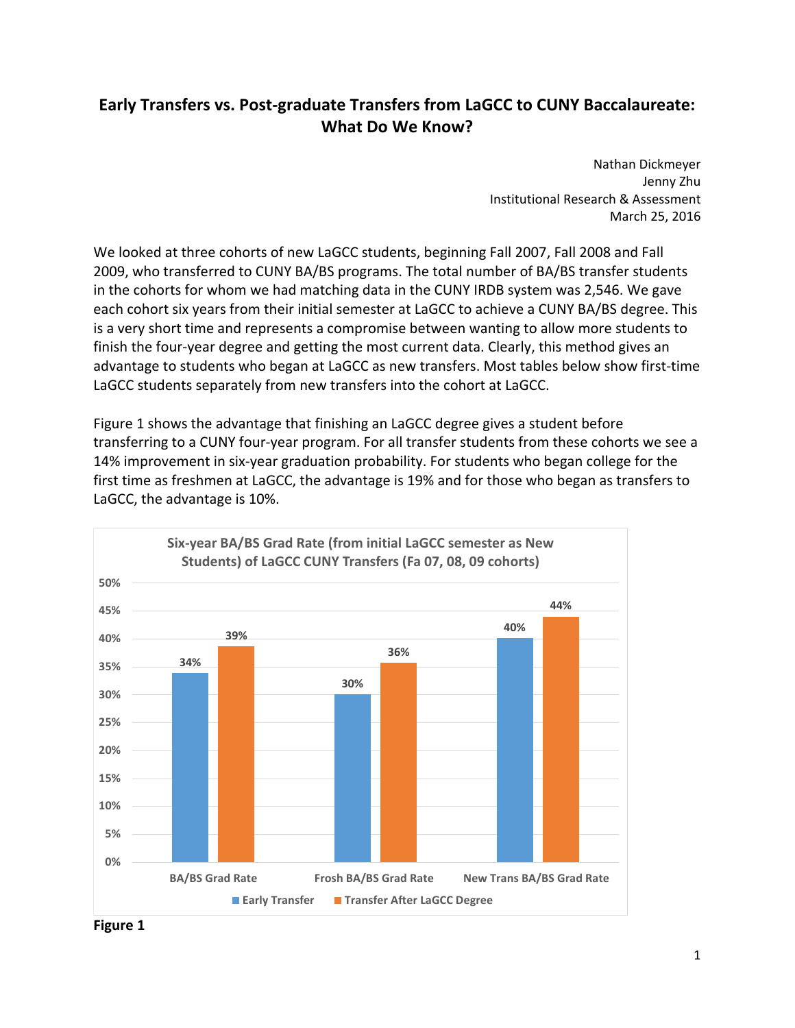# **Early Transfers vs. Post‐graduate Transfers from LaGCC to CUNY Baccalaureate: What Do We Know?**

 Nathan Dickmeyer Jenny Zhu Institutional Research & Assessment March 25, 2016

 We looked at three cohorts of new LaGCC students, beginning Fall 2007, Fall 2008 and Fall 2009, who transferred to CUNY BA/BS programs. The total number of BA/BS transfer students in the cohorts for whom we had matching data in the CUNY IRDB system was 2,546. We gave each cohort six years from their initial semester at LaGCC to achieve a CUNY BA/BS degree. This is a very short time and represents a compromise between wanting to allow more students to finish the four‐year degree and getting the most current data. Clearly, this method gives an advantage to students who began at LaGCC as new transfers. Most tables below show first‐time LaGCC students separately from new transfers into the cohort at LaGCC.

 Figure 1 shows the advantage that finishing an LaGCC degree gives a student before transferring to a CUNY four‐year program. For all transfer students from these cohorts we see a 14% improvement in six‐year graduation probability. For students who began college for the first time as freshmen at LaGCC, the advantage is 19% and for those who began as transfers to LaGCC, the advantage is 10%.



 **Figure 1**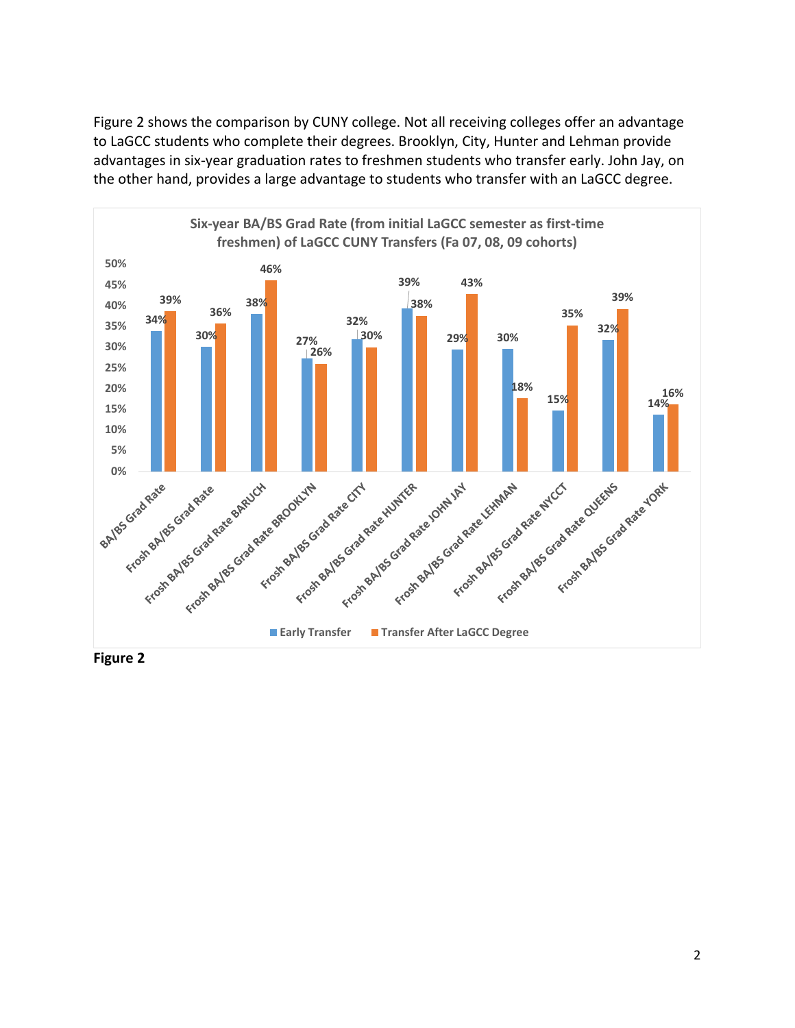Figure 2 shows the comparison by CUNY college. Not all receiving colleges offer an advantage to LaGCC students who complete their degrees. Brooklyn, City, Hunter and Lehman provide advantages in six‐year graduation rates to freshmen students who transfer early. John Jay, on the other hand, provides a large advantage to students who transfer with an LaGCC degree.



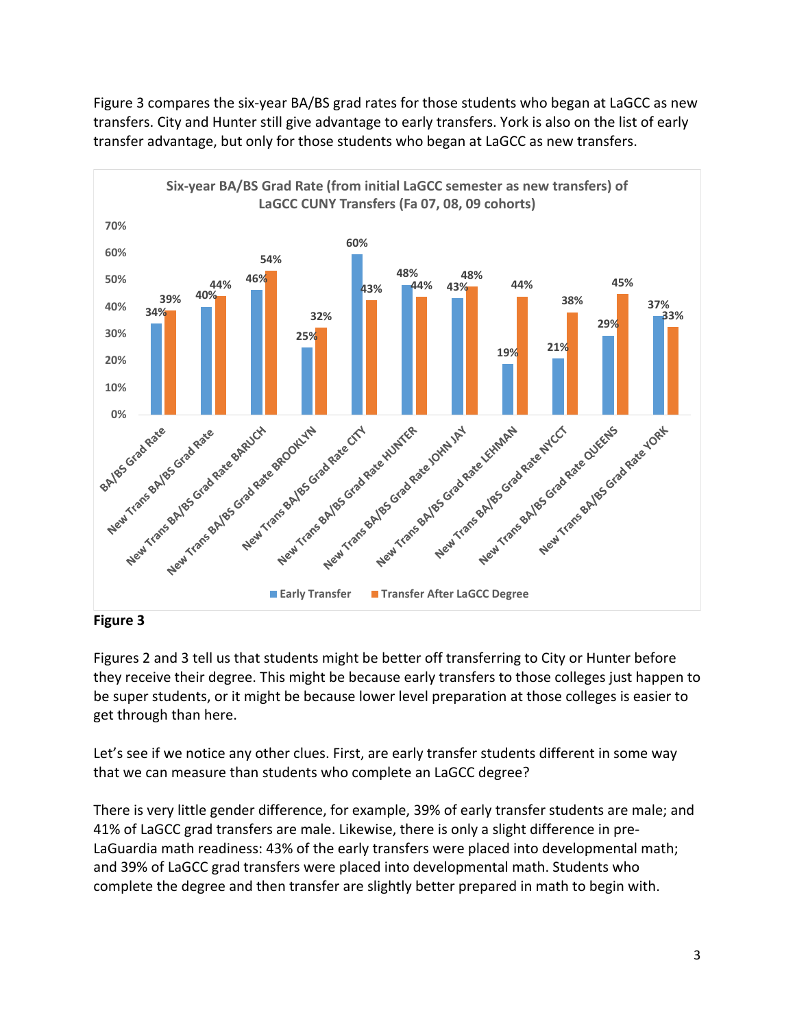Figure 3 compares the six‐year BA/BS grad rates for those students who began at LaGCC as new transfers. City and Hunter still give advantage to early transfers. York is also on the list of early transfer advantage, but only for those students who began at LaGCC as new transfers.



## **Figure 3**

 Figures 2 and 3 tell us that students might be better off transferring to City or Hunter before they receive their degree. This might be because early transfers to those colleges just happen to be super students, or it might be because lower level preparation at those colleges is easier to get through than here.

 Let's see if we notice any other clues. First, are early transfer students different in some way that we can measure than students who complete an LaGCC degree?

 There is very little gender difference, for example, 39% of early transfer students are male; and 41% of LaGCC grad transfers are male. Likewise, there is only a slight difference in pre‐ LaGuardia math readiness: 43% of the early transfers were placed into developmental math; and 39% of LaGCC grad transfers were placed into developmental math. Students who complete the degree and then transfer are slightly better prepared in math to begin with.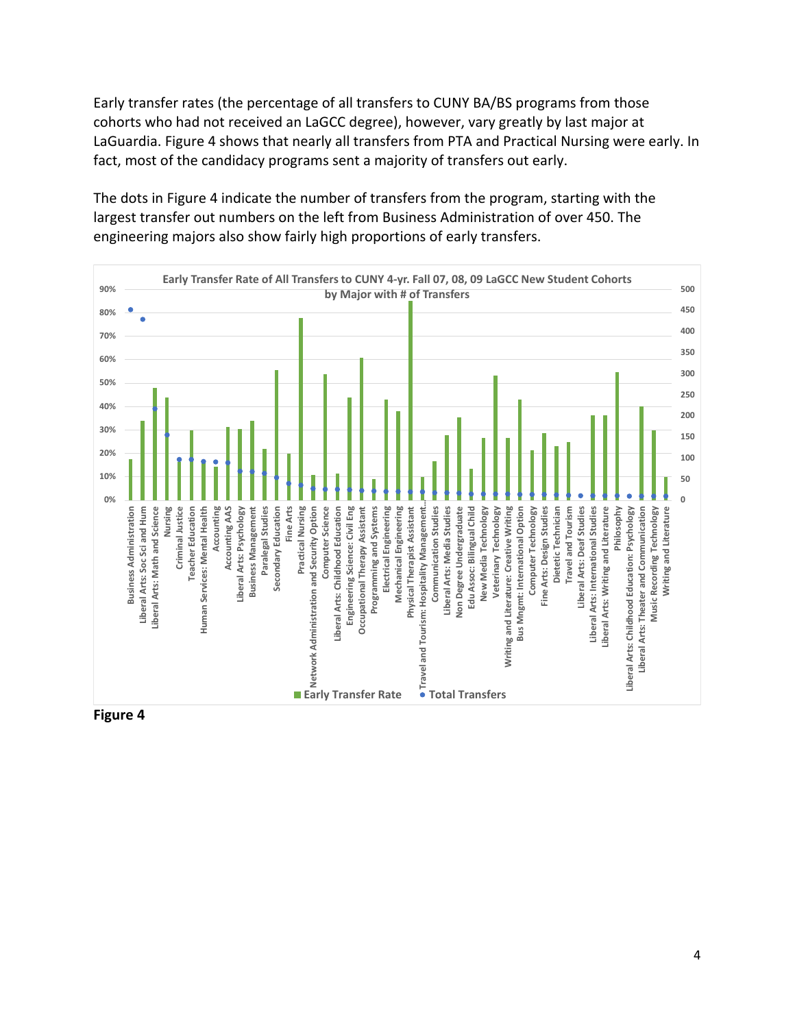Early transfer rates (the percentage of all transfers to CUNY BA/BS programs from those cohorts who had not received an LaGCC degree), however, vary greatly by last major at LaGuardia. Figure 4 shows that nearly all transfers from PTA and Practical Nursing were early. In fact, most of the candidacy programs sent a majority of transfers out early.

 The dots in Figure 4 indicate the number of transfers from the program, starting with the largest transfer out numbers on the left from Business Administration of over 450. The engineering majors also show fairly high proportions of early transfers.



 **Figure 4**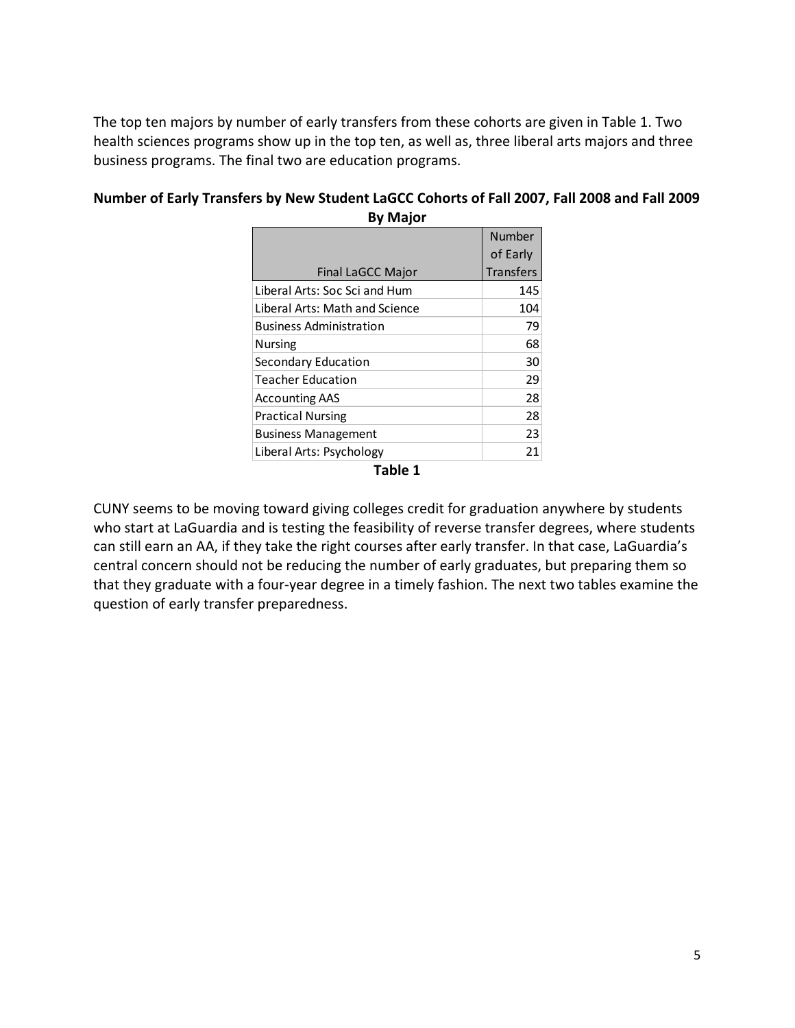The top ten majors by number of early transfers from these cohorts are given in Table 1. Two health sciences programs show up in the top ten, as well as, three liberal arts majors and three business programs. The final two are education programs.

| DY MIGJUI                      |                  |
|--------------------------------|------------------|
|                                | Number           |
|                                | of Early         |
| Final LaGCC Major              | <b>Transfers</b> |
| Liberal Arts: Soc Sci and Hum  | 145              |
| Liberal Arts: Math and Science | 104              |
| <b>Business Administration</b> | 79               |
| <b>Nursing</b>                 | 68               |
| Secondary Education            | 30               |
| <b>Teacher Education</b>       | 29               |
| <b>Accounting AAS</b>          | 28               |
| <b>Practical Nursing</b>       | 28               |
| <b>Business Management</b>     | 23               |
| Liberal Arts: Psychology       | 21               |
| . .<br>_                       |                  |

# Number of Early Transfers by New Student LaGCC Cohorts of Fall 2007, Fall 2008 and Fall 2009  **By Major**

 **Table 1**

 CUNY seems to be moving toward giving colleges credit for graduation anywhere by students who start at LaGuardia and is testing the feasibility of reverse transfer degrees, where students can still earn an AA, if they take the right courses after early transfer. In that case, LaGuardia's central concern should not be reducing the number of early graduates, but preparing them so that they graduate with a four‐year degree in a timely fashion. The next two tables examine the question of early transfer preparedness.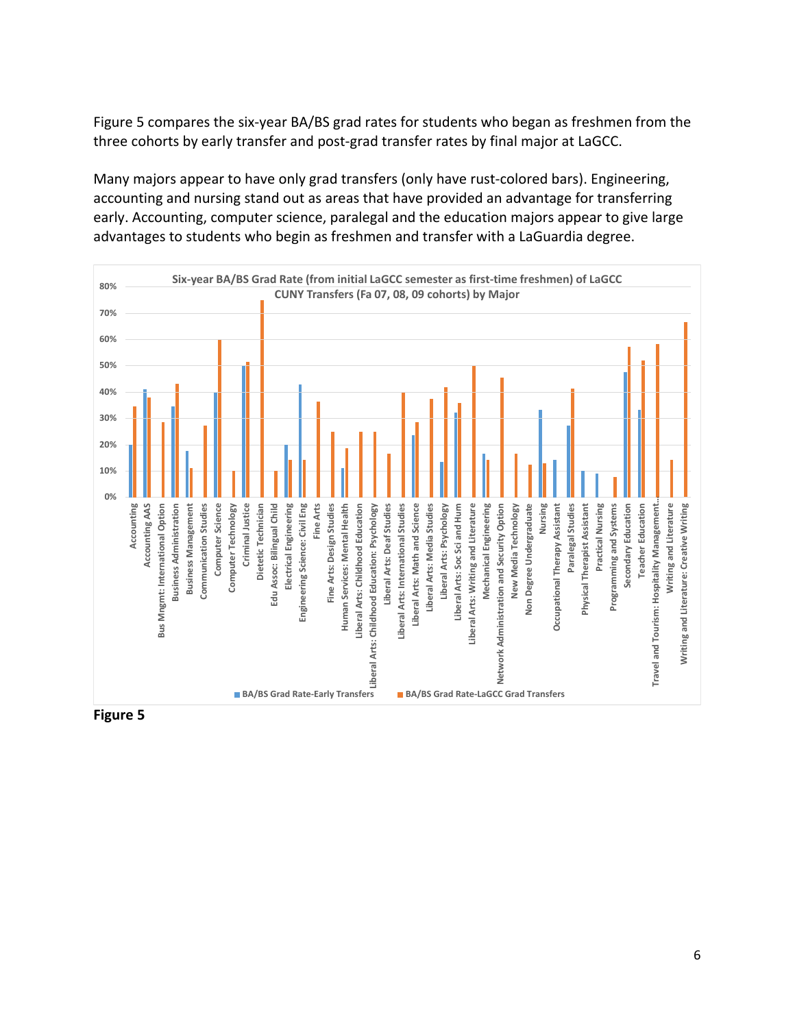Figure 5 compares the six‐year BA/BS grad rates for students who began as freshmen from the three cohorts by early transfer and post‐grad transfer rates by final major at LaGCC.

 Many majors appear to have only grad transfers (only have rust‐colored bars). Engineering, accounting and nursing stand out as areas that have provided an advantage for transferring early. Accounting, computer science, paralegal and the education majors appear to give large advantages to students who begin as freshmen and transfer with a LaGuardia degree.



 **Figure 5**